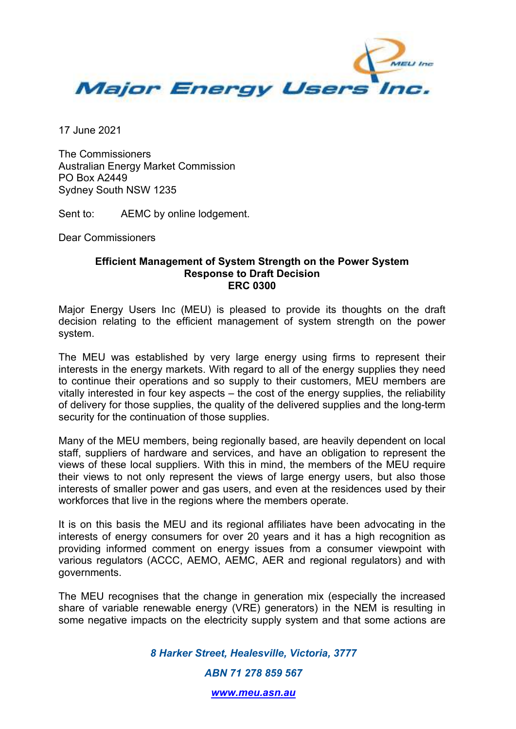

17 June 2021

The Commissioners Australian Energy Market Commission PO Box A2449 Sydney South NSW 1235

Sent to: AEMC by online lodgement.

Dear Commissioners

#### **Efficient Management of System Strength on the Power System Response to Draft Decision ERC 0300**

Major Energy Users Inc (MEU) is pleased to provide its thoughts on the draft decision relating to the efficient management of system strength on the power system.

The MEU was established by very large energy using firms to represent their interests in the energy markets. With regard to all of the energy supplies they need to continue their operations and so supply to their customers, MEU members are vitally interested in four key aspects – the cost of the energy supplies, the reliability of delivery for those supplies, the quality of the delivered supplies and the long-term security for the continuation of those supplies.

Many of the MEU members, being regionally based, are heavily dependent on local staff, suppliers of hardware and services, and have an obligation to represent the views of these local suppliers. With this in mind, the members of the MEU require their views to not only represent the views of large energy users, but also those interests of smaller power and gas users, and even at the residences used by their workforces that live in the regions where the members operate.

It is on this basis the MEU and its regional affiliates have been advocating in the interests of energy consumers for over 20 years and it has a high recognition as providing informed comment on energy issues from a consumer viewpoint with various regulators (ACCC, AEMO, AEMC, AER and regional regulators) and with governments.

The MEU recognises that the change in generation mix (especially the increased share of variable renewable energy (VRE) generators) in the NEM is resulting in some negative impacts on the electricity supply system and that some actions are

*8 Harker Street, Healesville, Victoria, 3777* 

*ABN 71 278 859 567* 

*www.meu.asn.au*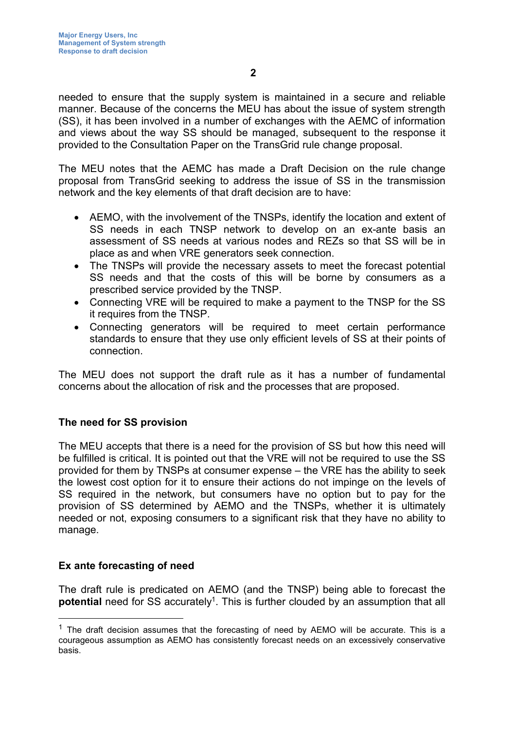**2** 

needed to ensure that the supply system is maintained in a secure and reliable manner. Because of the concerns the MEU has about the issue of system strength (SS), it has been involved in a number of exchanges with the AEMC of information and views about the way SS should be managed, subsequent to the response it provided to the Consultation Paper on the TransGrid rule change proposal.

The MEU notes that the AEMC has made a Draft Decision on the rule change proposal from TransGrid seeking to address the issue of SS in the transmission network and the key elements of that draft decision are to have:

- AEMO, with the involvement of the TNSPs, identify the location and extent of SS needs in each TNSP network to develop on an ex-ante basis an assessment of SS needs at various nodes and REZs so that SS will be in place as and when VRE generators seek connection.
- The TNSPs will provide the necessary assets to meet the forecast potential SS needs and that the costs of this will be borne by consumers as a prescribed service provided by the TNSP.
- Connecting VRE will be required to make a payment to the TNSP for the SS it requires from the TNSP.
- Connecting generators will be required to meet certain performance standards to ensure that they use only efficient levels of SS at their points of connection.

The MEU does not support the draft rule as it has a number of fundamental concerns about the allocation of risk and the processes that are proposed.

## **The need for SS provision**

The MEU accepts that there is a need for the provision of SS but how this need will be fulfilled is critical. It is pointed out that the VRE will not be required to use the SS provided for them by TNSPs at consumer expense – the VRE has the ability to seek the lowest cost option for it to ensure their actions do not impinge on the levels of SS required in the network, but consumers have no option but to pay for the provision of SS determined by AEMO and the TNSPs, whether it is ultimately needed or not, exposing consumers to a significant risk that they have no ability to manage.

## **Ex ante forecasting of need**

The draft rule is predicated on AEMO (and the TNSP) being able to forecast the **potential** need for SS accurately<sup>1</sup>. This is further clouded by an assumption that all

 $1$  The draft decision assumes that the forecasting of need by AEMO will be accurate. This is a courageous assumption as AEMO has consistently forecast needs on an excessively conservative basis.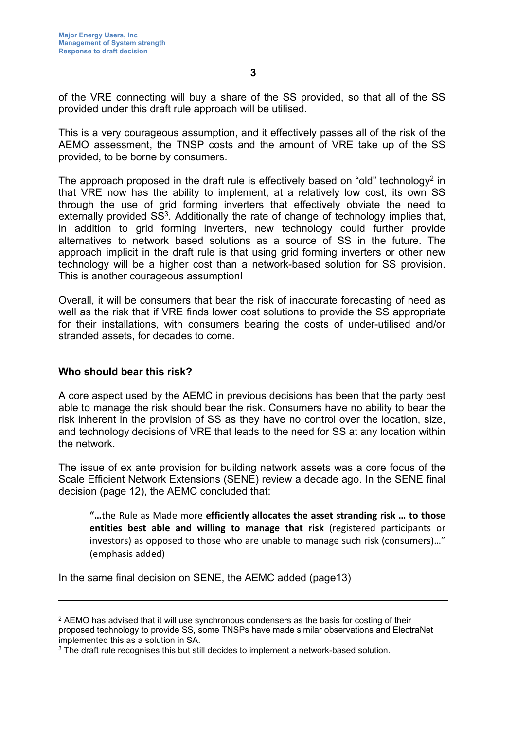of the VRE connecting will buy a share of the SS provided, so that all of the SS provided under this draft rule approach will be utilised.

This is a very courageous assumption, and it effectively passes all of the risk of the AEMO assessment, the TNSP costs and the amount of VRE take up of the SS provided, to be borne by consumers.

The approach proposed in the draft rule is effectively based on "old" technology<sup>2</sup> in that VRE now has the ability to implement, at a relatively low cost, its own SS through the use of grid forming inverters that effectively obviate the need to externally provided SS<sup>3</sup>. Additionally the rate of change of technology implies that, in addition to grid forming inverters, new technology could further provide alternatives to network based solutions as a source of SS in the future. The approach implicit in the draft rule is that using grid forming inverters or other new technology will be a higher cost than a network-based solution for SS provision. This is another courageous assumption!

Overall, it will be consumers that bear the risk of inaccurate forecasting of need as well as the risk that if VRE finds lower cost solutions to provide the SS appropriate for their installations, with consumers bearing the costs of under-utilised and/or stranded assets, for decades to come.

### **Who should bear this risk?**

A core aspect used by the AEMC in previous decisions has been that the party best able to manage the risk should bear the risk. Consumers have no ability to bear the risk inherent in the provision of SS as they have no control over the location, size, and technology decisions of VRE that leads to the need for SS at any location within the network.

The issue of ex ante provision for building network assets was a core focus of the Scale Efficient Network Extensions (SENE) review a decade ago. In the SENE final decision (page 12), the AEMC concluded that:

**"…**the Rule as Made more **efficiently allocates the asset stranding risk … to those entities best able and willing to manage that risk** (registered participants or investors) as opposed to those who are unable to manage such risk (consumers)…" (emphasis added)

In the same final decision on SENE, the AEMC added (page13)

 $\rm ^2$  AEMO has advised that it will use synchronous condensers as the basis for costing of their proposed technology to provide SS, some TNSPs have made similar observations and ElectraNet implemented this as a solution in SA.

 $\rm{^3}$  The draft rule recognises this but still decides to implement a network-based solution.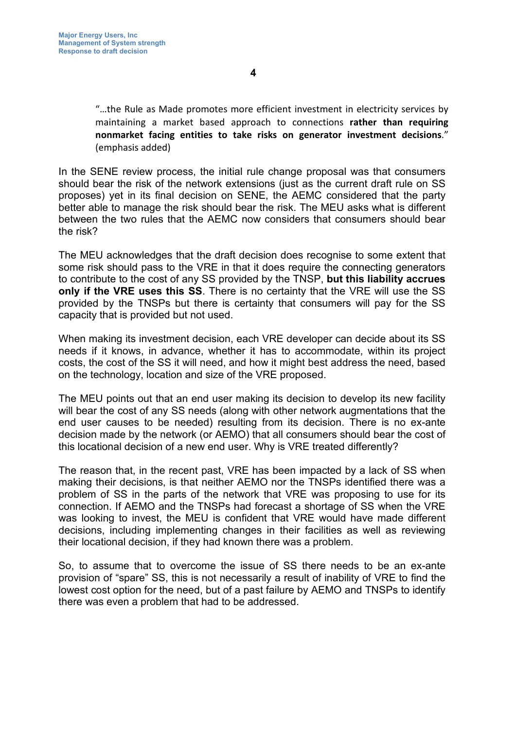"…the Rule as Made promotes more efficient investment in electricity services by maintaining a market based approach to connections **rather than requiring nonmarket facing entities to take risks on generator investment decisions**." (emphasis added)

In the SENE review process, the initial rule change proposal was that consumers should bear the risk of the network extensions (just as the current draft rule on SS proposes) yet in its final decision on SENE, the AEMC considered that the party better able to manage the risk should bear the risk. The MEU asks what is different between the two rules that the AEMC now considers that consumers should bear the risk?

The MEU acknowledges that the draft decision does recognise to some extent that some risk should pass to the VRE in that it does require the connecting generators to contribute to the cost of any SS provided by the TNSP, **but this liability accrues only if the VRE uses this SS**. There is no certainty that the VRE will use the SS provided by the TNSPs but there is certainty that consumers will pay for the SS capacity that is provided but not used.

When making its investment decision, each VRE developer can decide about its SS needs if it knows, in advance, whether it has to accommodate, within its project costs, the cost of the SS it will need, and how it might best address the need, based on the technology, location and size of the VRE proposed.

The MEU points out that an end user making its decision to develop its new facility will bear the cost of any SS needs (along with other network augmentations that the end user causes to be needed) resulting from its decision. There is no ex-ante decision made by the network (or AEMO) that all consumers should bear the cost of this locational decision of a new end user. Why is VRE treated differently?

The reason that, in the recent past, VRE has been impacted by a lack of SS when making their decisions, is that neither AEMO nor the TNSPs identified there was a problem of SS in the parts of the network that VRE was proposing to use for its connection. If AEMO and the TNSPs had forecast a shortage of SS when the VRE was looking to invest, the MEU is confident that VRE would have made different decisions, including implementing changes in their facilities as well as reviewing their locational decision, if they had known there was a problem.

So, to assume that to overcome the issue of SS there needs to be an ex-ante provision of "spare" SS, this is not necessarily a result of inability of VRE to find the lowest cost option for the need, but of a past failure by AEMO and TNSPs to identify there was even a problem that had to be addressed.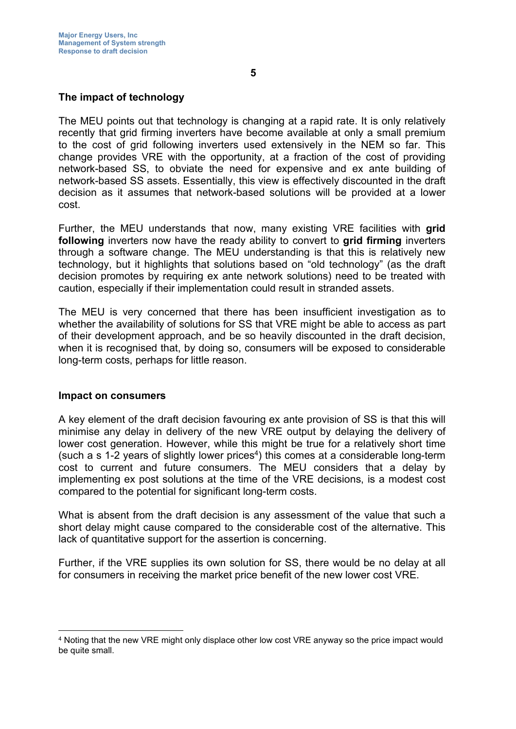The MEU points out that technology is changing at a rapid rate. It is only relatively recently that grid firming inverters have become available at only a small premium to the cost of grid following inverters used extensively in the NEM so far. This change provides VRE with the opportunity, at a fraction of the cost of providing network-based SS, to obviate the need for expensive and ex ante building of network-based SS assets. Essentially, this view is effectively discounted in the draft decision as it assumes that network-based solutions will be provided at a lower cost.

Further, the MEU understands that now, many existing VRE facilities with **grid following** inverters now have the ready ability to convert to **grid firming** inverters through a software change. The MEU understanding is that this is relatively new technology, but it highlights that solutions based on "old technology" (as the draft decision promotes by requiring ex ante network solutions) need to be treated with caution, especially if their implementation could result in stranded assets.

The MEU is very concerned that there has been insufficient investigation as to whether the availability of solutions for SS that VRE might be able to access as part of their development approach, and be so heavily discounted in the draft decision, when it is recognised that, by doing so, consumers will be exposed to considerable long-term costs, perhaps for little reason.

### **Impact on consumers**

A key element of the draft decision favouring ex ante provision of SS is that this will minimise any delay in delivery of the new VRE output by delaying the delivery of lower cost generation. However, while this might be true for a relatively short time (such a s 1-2 years of slightly lower prices<sup>4</sup>) this comes at a considerable long-term cost to current and future consumers. The MEU considers that a delay by implementing ex post solutions at the time of the VRE decisions, is a modest cost compared to the potential for significant long-term costs.

What is absent from the draft decision is any assessment of the value that such a short delay might cause compared to the considerable cost of the alternative. This lack of quantitative support for the assertion is concerning.

Further, if the VRE supplies its own solution for SS, there would be no delay at all for consumers in receiving the market price benefit of the new lower cost VRE.

<sup>4</sup> Noting that the new VRE might only displace other low cost VRE anyway so the price impact would be quite small.